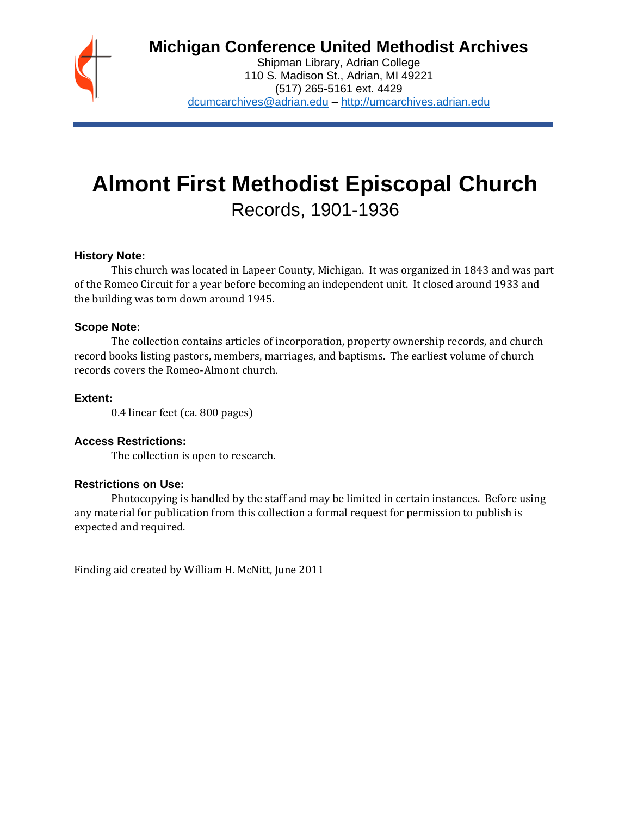# **Michigan Conference United Methodist Archives**

Shipman Library, Adrian College 110 S. Madison St., Adrian, MI 49221 (517) 265-5161 ext. 4429 [dcumcarchives@adrian.edu](mailto:dcumcarchives@adrian.edu) – [http://umcarchives.adrian.edu](http://umcarchives.adrian.edu/)

# **Almont First Methodist Episcopal Church** Records, 1901-1936

#### **History Note:**

This church was located in Lapeer County, Michigan. It was organized in 1843 and was part of the Romeo Circuit for a year before becoming an independent unit. It closed around 1933 and the building was torn down around 1945.

#### **Scope Note:**

The collection contains articles of incorporation, property ownership records, and church record books listing pastors, members, marriages, and baptisms. The earliest volume of church records covers the Romeo-Almont church.

#### **Extent:**

0.4 linear feet (ca. 800 pages)

#### **Access Restrictions:**

The collection is open to research.

#### **Restrictions on Use:**

Photocopying is handled by the staff and may be limited in certain instances. Before using any material for publication from this collection a formal request for permission to publish is expected and required.

Finding aid created by William H. McNitt, June 2011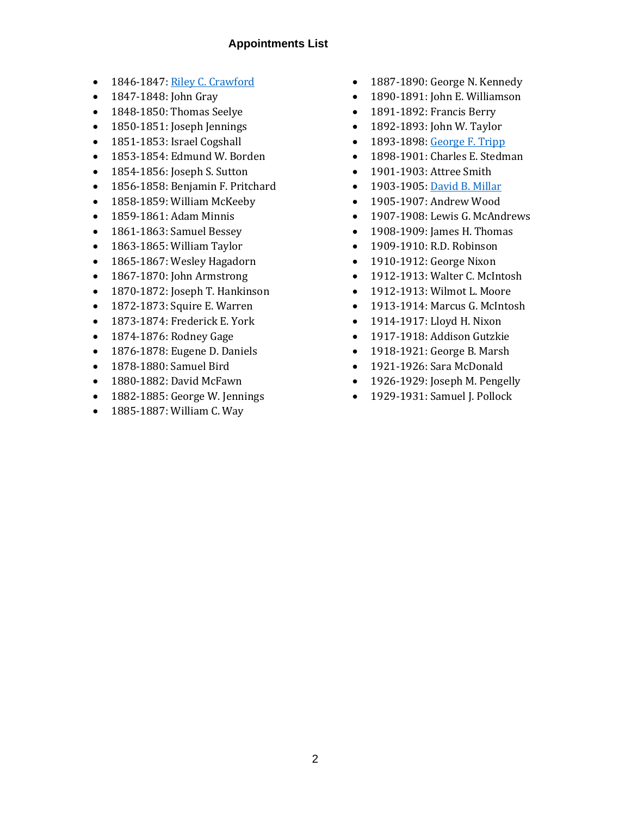#### **Appointments List**

- 1846-1847[: Riley C. Crawford](http://umcarchives.adrian.edu/clergy/crawfordrc.php)
- 1847-1848: John Gray
- 1848-1850: Thomas Seelye
- 1850-1851: Joseph Jennings
- 1851-1853: Israel Cogshall
- 1853-1854: Edmund W. Borden
- 1854-1856: Joseph S. Sutton
- 1856-1858: Benjamin F. Pritchard
- 1858-1859: William McKeeby
- 1859-1861: Adam Minnis
- 1861-1863: Samuel Bessey
- 1863-1865: William Taylor
- 1865-1867: Wesley Hagadorn
- 1867-1870: John Armstrong
- 1870-1872: Joseph T. Hankinson
- 1872-1873: Squire E. Warren
- 1873-1874: Frederick E. York
- 1874-1876: Rodney Gage
- 1876-1878: Eugene D. Daniels
- 1878-1880: Samuel Bird
- 1880-1882: David McFawn
- 1882-1885: George W. Jennings
- 1885-1887: William C. Way
- 1887-1890: George N. Kennedy
- 1890-1891: John E. Williamson
- 1891-1892: Francis Berry
- 1892-1893: John W. Taylor
- 1893-1898[: George F. Tripp](http://umcarchives.adrian.edu/clergy/trippgf.php)
- 1898-1901: Charles E. Stedman
- 1901-1903: Attree Smith
- 1903-1905[: David B. Millar](http://umcarchives.adrian.edu/clergy/millardb.php)
- 1905-1907: Andrew Wood
- 1907-1908: Lewis G. McAndrews
- 1908-1909: James H. Thomas
- 1909-1910: R.D. Robinson
- 1910-1912: George Nixon
- 1912-1913: Walter C. McIntosh
- 1912-1913: Wilmot L. Moore
- 1913-1914: Marcus G. McIntosh
- 1914-1917: Lloyd H. Nixon
- 1917-1918: Addison Gutzkie
- 1918-1921: George B. Marsh
- 1921-1926: Sara McDonald
- 1926-1929: Joseph M. Pengelly
- 1929-1931: Samuel J. Pollock